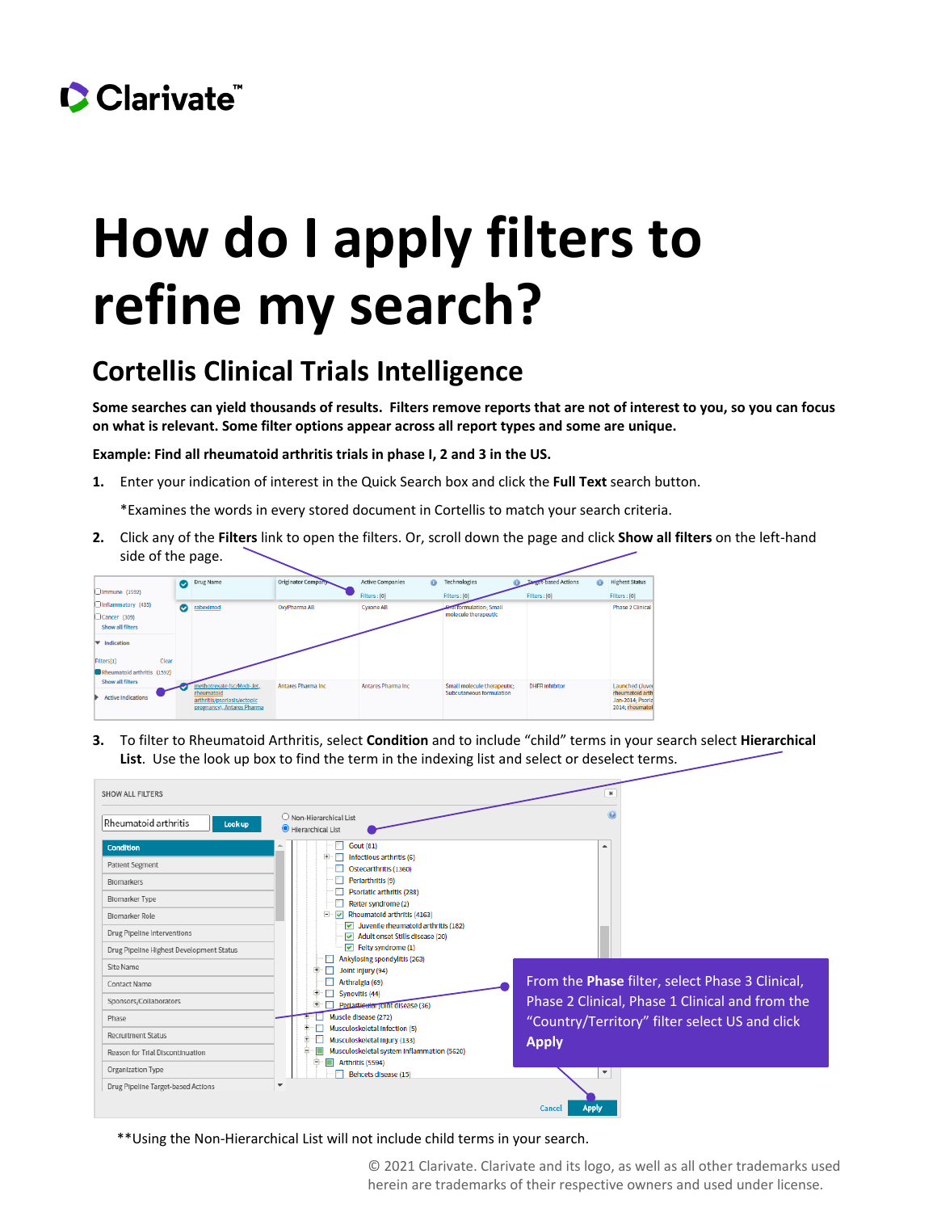

## **How do I apply filters to refine my search?**

## **Cortellis Clinical Trials Intelligence**

**Some searches can yield thousands of results. Filters remove reports that are not of interest to you, so you can focus on what is relevant. Some filter options appear across all report types and some are unique.**

**Example: Find all rheumatoid arthritis trials in phase I, 2 and 3 in the US.**

**1.** Enter your indication of interest in the Quick Search box and click the **Full Text** search button.

\*Examines the words in every stored document in Cortellis to match your search criteria.

**2.** Click any of the **Filters** link to open the filters. Or, scroll down the page and click **Show all filters** on the left-hand side of the page.



**3.** To filter to Rheumatoid Arthritis, select **Condition** and to include "child" terms in your search select **Hierarchical List**. Use the look up box to find the term in the indexing list and select or deselect terms.

| <b>SHOW ALL FILTERS</b>                                                                                                                                                               |                                                                                                                                                                                                                                                                                                                                                                                                 |                                                                                                                                                                      |
|---------------------------------------------------------------------------------------------------------------------------------------------------------------------------------------|-------------------------------------------------------------------------------------------------------------------------------------------------------------------------------------------------------------------------------------------------------------------------------------------------------------------------------------------------------------------------------------------------|----------------------------------------------------------------------------------------------------------------------------------------------------------------------|
| Rheumatoid arthritis<br>Look up                                                                                                                                                       | O Non-Hierarchical List<br>Hierarchical List                                                                                                                                                                                                                                                                                                                                                    |                                                                                                                                                                      |
| <b>Condition</b><br>Patient Segment<br><b>Blomarkers</b><br><b>Blomarker Type</b><br><b>Blomarker Role</b><br>Drug Pipeline Interventions<br>Drug Pipeline Highest Development Status | <b>Gout (81)</b><br>Infectious arthritis (6)<br>Osteoarthritis (1360)<br>Periarthritis (9)<br>Psoriatic arthritis (288)<br>Reiter syndrome (2)<br>E-<br>Rheumatoid arthritis (4163)<br>$\overline{\mathbf{v}}$<br>Juvenile rheumatoid arthritis (182)<br>$\overline{\mathbf{v}}$<br>Adult onset Stills disease (20)<br>▽<br>$\boxed{\smile}$ Felty syndrome (1)<br>Ankylosing spondylitis (263) |                                                                                                                                                                      |
| Site Name<br>Contact Name<br>Sponsors/Collaborators<br>Phase<br><b>Recruitment Status</b><br>Reason for Trial Discontinuation<br>Organization Type                                    | Œ.<br>Joint Injury (94)<br>Arthralgia (69)<br>Synovitis (44)<br>Œ<br>Perlarticular joint disease (36)<br>Muscle disease (272)<br>Musculoskeletal Infection (5)<br>Musculoskeletal Injury (133)<br>Musculoskeletal system Inflammation (5620)<br>$\equiv$<br>e<br>Arthritis (5594)                                                                                                               | From the Phase filter, select Phase 3 Clinical,<br>Phase 2 Clinical, Phase 1 Clinical and from the<br>"Country/Territory" filter select US and click<br><b>Apply</b> |
| Drug Pipeline Target-based Actions                                                                                                                                                    | Behcets disease (15)<br>$\mathbf{v}$                                                                                                                                                                                                                                                                                                                                                            | $\mathbf{v}$<br><b>Apply</b><br>Cancel                                                                                                                               |

\*\*Using the Non-Hierarchical List will not include child terms in your search.

© 2021 Clarivate. Clarivate and its logo, as well as all other trademarks used herein are trademarks of their respective owners and used under license.